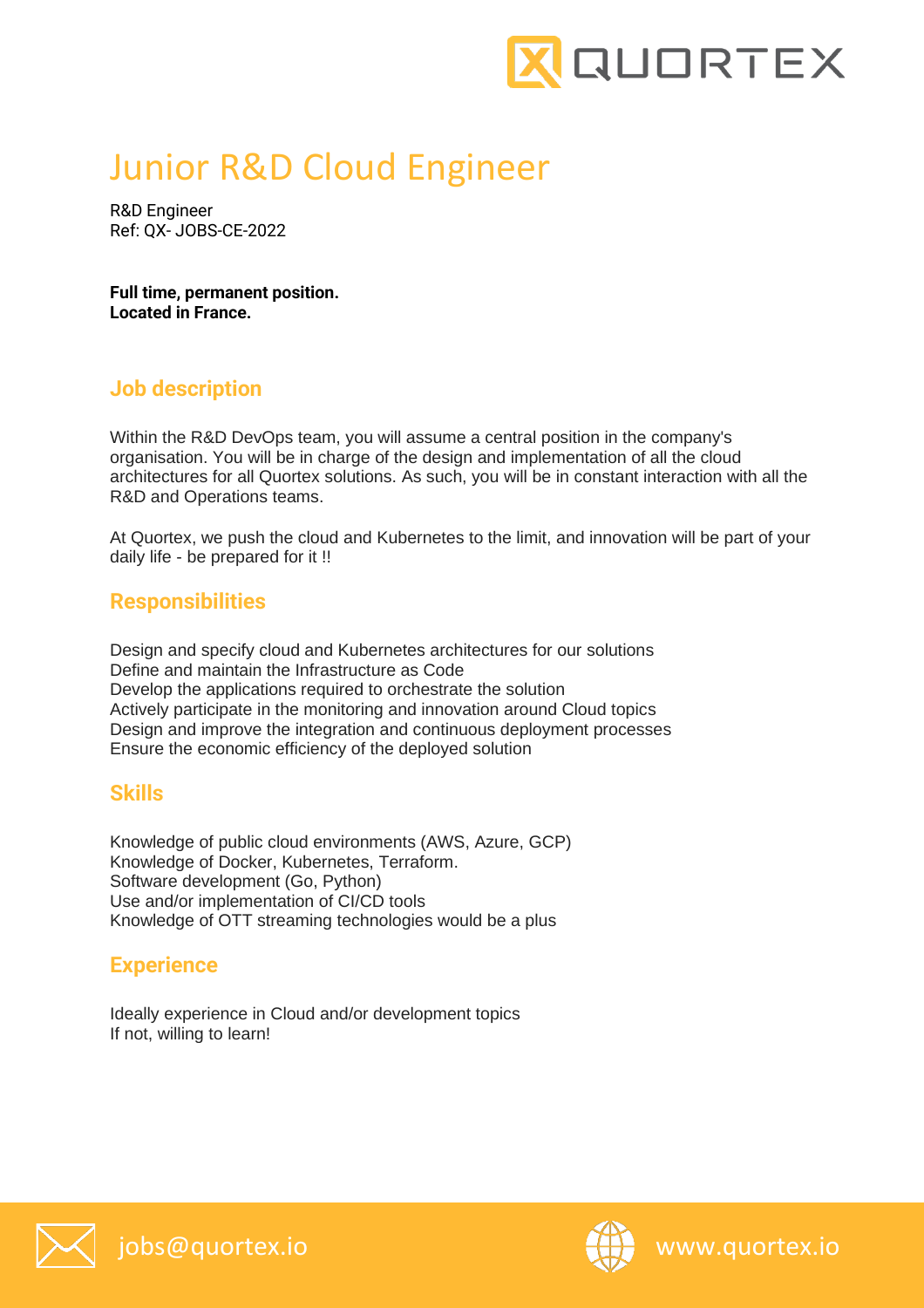

# Junior R&D Cloud Engineer

R&D Engineer Ref: QX- JOBS-CE-2022

**Full time, permanent position. Located in France.** 

## **Job description**

Within the R&D DevOps team, you will assume a central position in the company's organisation. You will be in charge of the design and implementation of all the cloud architectures for all Quortex solutions. As such, you will be in constant interaction with all the R&D and Operations teams.

At Quortex, we push the cloud and Kubernetes to the limit, and innovation will be part of your daily life - be prepared for it !!

#### **Responsibilities**

Design and specify cloud and Kubernetes architectures for our solutions Define and maintain the Infrastructure as Code Develop the applications required to orchestrate the solution Actively participate in the monitoring and innovation around Cloud topics Design and improve the integration and continuous deployment processes Ensure the economic efficiency of the deployed solution

#### **Skills**

Knowledge of public cloud environments (AWS, Azure, GCP) Knowledge of Docker, Kubernetes, Terraform. Software development (Go, Python) Use and/or implementation of CI/CD tools Knowledge of OTT streaming technologies would be a plus

# **Experience**

Ideally experience in Cloud and/or development topics If not, willing to learn!